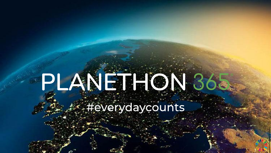Entre Exercida y counts

1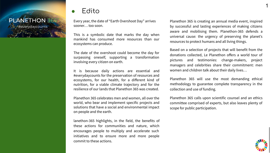

# ● Edito

Every year, the date of "Earth Overshoot Day" arrives sooner… too soon.

This is a symbolic date that marks the day when mankind has consumed more resources than our ecosystems can produce.

The date of the overshoot could become the day for surpassing oneself, supporting a transformation involving every citizen on earth.

It is because daily actions are essential and #everydaycounts for the preservation of resources and ecosystems, for our health, for a different kind of nutrition, for a viable climate trajectory and for the resilience of our lands that Planethon 365 was created.

Planethon 365 celebrates men and women, all over the world, who bear and implement specific projects and solutions that have a social and environmental impact on people and the earth.

lanethon-365 highlights, in the field, the benefits of these actions for communities and nature, which encourages people to multiply and accelerate such initiatives and to ensure more and more people commit to these actions.

Planethon 365 is creating an annual media event, inspired by successful and lasting experiences of making citizens aware and mobilising them. Planethon-365 defends a universal cause: the urgency of preserving the planet's resources to protect humans and all living things.

Based on a selection of projects that will benefit from the donations collected, Le Planethon offers a world tour of pictures and testimonies: change-makers, project managers and celebrities share their commitment: men women and children talk about their daily lives…

Planethon 365 will use the most demanding ethical methodology to guarantee complete transparency in the collection and use of funding.

Planethon 365 calls upon scientific counsel and an ethics committee comprised of experts, but also leaves plenty of scope for public participation.



1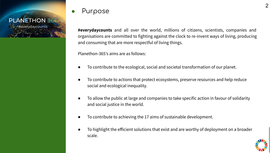

# Purpose

**#everydaycounts** and all over the world, millions of citizens, scientists, companies and organisations are committed to fighting against the clock to re-invent ways of living, producing and consuming that are more respectful of living things.

Planethon-365's aims are as follows:

- To contribute to the ecological, social and societal transformation of our planet.
- To contribute to actions that protect ecosystems, preserve resources and help reduce social and ecological inequality.
- To allow the public at large and companies to take specific action in favour of solidarity and social justice in the world.
- To contribute to achieving the 17 aims of sustainable development.
- To highlight the efficient solutions that exist and are worthy of deployment on a broader scale.

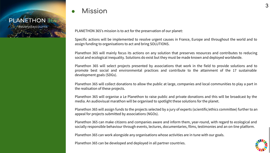# **PLANETHON 365** #everydaycounts

# **Mission**

PLANETHON 365's mission is to act for the preservation of our planet:

Specific actions will be implemented to resolve urgent causes in France, Europe and throughout the world and to assign funding to organisations to act and bring SOLUTIONS.

Planethon 365 will mainly focus its actions on any solution that preserves resources and contributes to reducing social and ecological inequality. Solutions do exist but they must be made known and deployed worldwide.

Planethon 365 will select projects presented by associations that work in the field to provide solutions and to promote best social and environmental practices and contribute to the attainment of the 17 sustainable development goals (SDGs).

Planethon 365 will collect donations to allow the public at large, companies and local communities to play a part in the realisation of these projects.

Planethon 365 will organise a Le Planethon to raise public and private donations and this will be broadcast by the media. An audiovisual marathon will be organised to spotlight these solutions for the planet.

Planethon 365 will assign funds to the projects selected by a jury of experts (scientific/ethics committee) further to an appeal for projects submitted by associations (NGOs).

Planethon 365 can make citizens and companies aware and inform them, year-round, with regard to ecological and socially responsible behaviour through events, lectures, documentaries, films, testimonies and an on-line platform.

Planethon 365 can work alongside any organisations whose activities are in tune with our goals.

Planethon 365 can be developed and deployed in all partner countries.

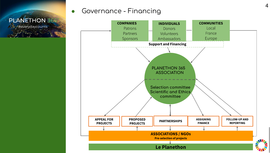

# Governance - Financing

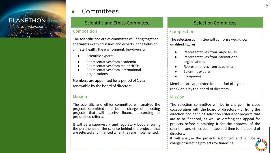#everydaycounts

# e Committees

## Scientific and Ethics Committee **Selection Committee** Selection Committee

#### Composition

The scientific and ethics committee will bring together specialists in ethical issues and experts in the fields of climate, health, the environment, bio-diversity:

- Scientific experts
- Representatives from academia
- Representatives from major NGOs
- Representatives from international organisations

Members are appointed for a period of 1 year, renewable by the board of directors.

#### Mission

The scientific and ethics committee will analyse the projects submitted and be in charge of selecting projects that will receive finance, according to pre-defined criteria.

It will be a supervisory and regulatory body ensuring the pertinence of the science behind the projects that are selected and financed when they are implemented.

#### Composition

The selection committee will comprise well-known, qualified figures:

- Representatives from major NGOs
- Representatives from international organisations
- Representatives from academia
- Scientific experts
- **Companies**

Members are appointed for a period of 1 year, renewable by the board of directors.

#### Mission

The selection committee will be in charge – in close collaboration with the board of directors – of fixing the direction and defining selection criteria for projects that are to be financed, as well as drafting the appeal for projects before submitting it for the approval of the scientific and ethics committee and then to the board of directors.

It will analyse the projects submitted and will be in charge of selecting projects for financing.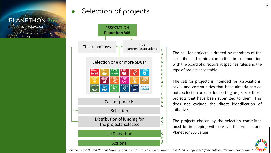#everydaycounts

# **EXECUTE: A Selection of projects**<br>PLANETHON365



The call for projects is drafted by members of the scientific and ethics committee in collaboration with the board of directors: it specifies rules and the type of project acceptable…

The call for projects is intended for associations, NGOs and communities that have already carried out a selection process for existing projects or those projects that have been submitted to them. This does not exclude the direct identification of initiatives.

The projects chosen by the selection committee must be in keeping with the call for projects and Planethon365 values.

*\*Defined by the United Nations Organisation in 2015 https://www.un.org/sustainabledevelopment/fr/objectifs-de-developpement-durable*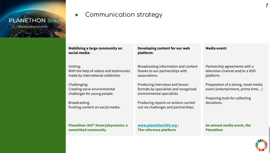#everydaycounts

**PLANETHON 365** 

Communication strategy

#### **Mobilising a large community on social media:**

Uniting: With the help of videos and testimonies made by international celebrities

Challenging: Creating socio-environmental challenges for young people.

Broadcasting: Pushing content on social media.

**Planethon-365® #everydaycounts: a committed community**

**Developing content for our web platform:**

Broadcasting information and content thanks to our partnerships with associations.

Producing interviews and lesson formats by specialists and recognised environmental specialists.

Producing reports on actions carried out via challenges and partnerships.

**[www.planethon365.org](http://www.planethon365.org) : The reference platform**

**Media event:**

Partnership agreements with a television channel and/or a VOD platform.

Preparation of a strong, novel media event (entertainment, prime time…)

Preparing tools for collecting donations.

**An annual media event, the Planethon**

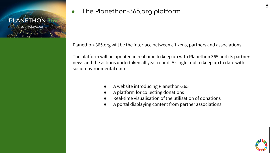

Planethon-365.org will be the interface between citizens, partners and associations.

The platform will be updated in real time to keep up with Planethon 365 and its partners' news and the actions undertaken all year round. A single tool to keep up to date with socio-environmental data.

- A website introducing Planethon-365
- A platform for collecting donations
- Real-time visualisation of the utilisation of donations
- A portal displaying content from partner associations.

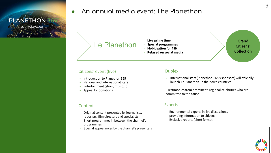

# • An annual media event: The Planethon PLANETHON 365

# Le Planethon

- ⎼ **Live prime time**
- ⎼ **Special programmes**
- ⎼ **Mobilisation for 48H**
- ⎼ **Relayed on social media**

Grand Citizens' Collection

#### Citizens' event (live)

- Introduction to Planethon 365
- National and international stars
- Entertainment (show, music...)
- ⎼ Appeal for donations

#### Content

- Original content presented by journalists, reporters, film directors and specialists
- Short programmes in between the channel's programmes
- Special appearances by the channel's presenters

#### **Duplex**

- International stars (Planethon-365's sponsors) will officially launch LePlanethon in their own countries
- Testimonies from prominent, regional celebrities who are committed to the cause

#### Experts

- ⎼ Environmental experts in live discussions, providing information to citizens
- Exclusive reports (short format)

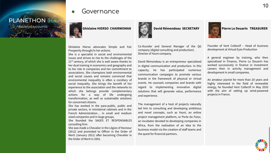#everydaycounts **PLANETHON 365** 



### Governance

Ghislaine Hierso advocates Simple and Fair Prosperity through/in her actions.

She is a specialist in social and environmental issues and strives to rise to the challenges of the  $21<sup>st</sup>$  century, of which she is well aware thanks to her dual training in economics and geography and to her role in companies and her commitment to associations. She champions both environmental and social causes and remains convinced that environmental inequality is often a corollary of social inequality. She brings the benefit of her experience to the association and the networks to which she belongs provide complementary actions for a way of life undergoing transformation, as well as sustainable solutions for concerned citizens.

She has worked in the para-public, public and private sectors, in ministerial cabinets and in the French Administration… in small and medium sized companies and in large groups.

She founded the SAGES ET RESPONSABLES consulting firm.

She was made a Chevalier in the Légion d'Honneur (2012) and promoted to Officer in the Order of Merit (January 2021) after becoming Chevalier in the Order of Merit in 2001.



#### **David Rémondeau SECRETARY**

Co-founder and General Manager of the QG company (digital consulting and production). Director of Youni company.

David Rémondeau is an entrepreneur specialised in digital communication and production. In this capacity, he has participated numerous communication campaigns to promote various brands in the framework of physical or virtual events. He counsels companies and brands with regard to implementing innovative digital solutions that will generate value, performance and experience.

The management of a host of projects naturally led him to consulting and developing ambitious and novel concepts, such as Youni, an online project management platform, or Porte du Futur, an incubator devoted to developing companies in Africa, from the realisation of an idea to the business model via the creation of staff teams and the quest for financial partners.



Founder of Vent Collectif – Head of business development at Virtual Eyes Production

A general engineer by training, who then specialised in Finance, Pierre Le Douarin has worked successively in finance in investment careers then in activity management and development in small companies.

An amateur pianist for more than 20 years and highly interested in the field of renewable energy, he founded Vent Collectif in May 2020 with the aim of setting up wind-powered projects in France.

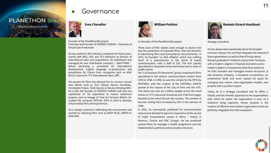#everydaycounts



## Governance

Founder of the Planéthon365 project Chairman and founder of SYNERGY CINEMA – Chairman of Virtual Eyes Production

He has worked in film industry companies for thirty years, mainly with MK2, UGC and TF1 television as Director of international sales and acquisitions. He established and managed his own distribution company – SAGITTAIRE – before becoming a consultant for international development, English language co-productions and acquisitions for France from companies such as Wild Bunch, Gaumont, TF1 International, Mars, ARP…

His passion for films has allowed him to uncover several new talents such as Tom Tykwer, Darren Aronofsky, Christopher Nolan, Todd Haynes or Nicolas Winding Refn. He is also the founder of SYNERGY CINEMA and Yves has capitalised on his experience to mount audacious projects such as Voyage of Time for Terrence Malick. He created the company VIRTUAL EYES in 2018 to develop virtual reality films and experiences.

He is deeply involved in defending the environment and worked on releasing films such as DEEP BLUE, EARTH or GASLAND.

 **William Perkins**

Co-founder of the Planéthon365 project.

Three years of film studies were enough to launch him into the production of corporate films, then the direction of advertising films and humanitarian documentaries. In 1976, he founded "La Villa d'Alésia" which was nothing short of a phenomenon in the world of events communication, with a staff of 150. The firm quickly specialised in corporate events and shows and in mass or public events.

His "La Française d'Evènements" group comprised 6 films specialised in the various communications sectors from 1978 to 1998. In 1998, he won the contest for the FETE du FOOTBALL with the creation of the FOOTBALL GIANTS parade at the request of the City of Paris and the CFO. This show was seen by 3 billion people across the word thanks to TF1's television broadcast and 1700 front pages devoted to the event all over the country. The number of tourists visiting Paris increased by 23% in the summer of 1998.

In 2001, he successfully published his communication manual and decided to place his experience at the service of major humanitarian causes in Africa – mainly in Morocco, Tunisia and RDC (Congo). He has produced several films; he manages a health programme and has implemented a political communication structure.



Strategy consultant

He has always been passionate about the broader common interest, the sort that integrates the interest of future generations as well as that of living nature. Romain graduated in Political science from Toulouse, with a master's degree in Financial economics and a master's degree in entrepreneurship from Audencia. He then founded and managed several structures (a real property company, a European co-operative, an endowment fund) and never ceased his quest for emerging new visions, new organisation models, new projects with a positive impact.

Today, he is a strategy consultant and he offers a holistic and bio-mimetic approach to the organisations with which he works: the organisation is seen as a collective living organism, whose purpose is the creation of efficient and resilient organisations that are perfectly integrated into their ecosystem.

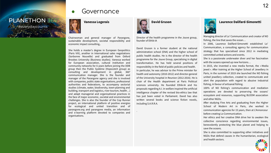#everydaycounts



 **Vanessa Logerais**

Governance

Chairwoman and general manager of Parangone, sustainable development, societal responsibility and economic impact consulting,.

She holds a master's degree in European Geopolitics (Paris VIII), another in International sales negotiations (Sorbonne Nouvelle) and graduated from Oxford Brookes University (Business studies). Vanessa worked for European association, cultural institution and community networks for 6 years before joining the DDB group then the Public Système (Hopscotch group) as consulting and development in global, 360° communication manager. She is the founder and manager of the Parangone agency and she is involved with companies, public state organisations, professional authorities and federations, to accompany sectorial studies (climate, water, biodiversity, town-planning and building, transport and logistics, river tourism, health…) and adapt managerial and organisational practices in the face of major economic, societal and environmental challenges. She is also the founder of the Cop Runner project, an international platform of positive energies for ecological and united transition and of parangone.org and parangone media, an information and e-learning platform devoted to companies and organisations.

 **David Gruson**

.

Director of the health programme in the Jouve group, founder of Ethik-IA

David Gruson is a former student at the national administration school (ENA) and the higher school of public health studies. He is the director of the health programme for the Jouve Group, specialising in digital transformation. He has held several positions of responsibility in the field of public policies and health. In particular, he was advisor to the Prime minister for health and autonomy (2010-2012) and director-general of the University hospital in Reunion (2012-2016). He is chair of the Health department at Paris Political sciences university. He founded Ethik-IA and his proposals regarding A.I. in welfare inspired the artificial intelligence chapter of the revised bio-ethics law that has just been voted in Parliament. David has also written several books and science fiction novels, including S.A.R.R.A.



#### **Laurence Dalifard-Simonetti**

Managing director of Lo' Communication and creator of NO fishing, the line that saves the ocean…

In 2006, Laurence Dalifard-Simonetti established Lo' Communication, a consulting agency for communication strategy that has specialised since 2012 in mediating committed united actions and events.

She is a passionate underwater diver and her fascination with the oceans opened up new horizons…

In 2015, she invented a new media format, the « Media jewel ». After training at the Higher School of Jewellery in Paris, in the summer of 2019 she launched the NO fishing united jewellery collection, created to communicate and alert the population with regard to abusive industrial fishing, in favour of artisanal fishing.

100% of NO fishing's communication and mediation operations are devoted to preserving the oceans' ecosystem and resources, supporting BLOOM association and other NGOs.

After studying Fine Arts and graduating from the Higher School of Modern Art in Paris, she worked in communication agencies for 15 years, then at L'Annonceur before creating Lo Communication.

Her ethics and her creative DNA drive her to awaken the collective conscience regarding environmental issues, benevolently protecting the blue planet and helping to save the oceans.

She is also committed to supporting other initiatives and NGOs that defend causes in the humanitarian, ecological and health sectors.

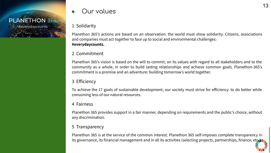# Particular Company of the Company of the Company of the Company of the Company of #everydaycounts

# Our values

#### 1 Solidarity

Planethon 365's actions are based on an observation: the world must show solidarity. Citizens, associations and companies must act together to face up to social and environmental challenges: **#everydaycounts.**

## 2 Commitment

Planethon 365's vision is based on the will to commit, on its values with regard to all stakeholders and to the community as a whole, in order to build lasting relationships and achieve common goals. Planethon-365's commitment is a promise and an adventure: building tomorrow's world together.

## 3 Efficiency

To achieve the 17 goals of sustainable development, our society must strive for efficiency: to do better while consuming less of our natural resources.

#### 4 Fairness

Planethon 365 provides support in a fair manner, depending on requirements and the public's choice, without any discrimination.

#### 5 Transparency

Planethon 365 is at the service of the common interest. Planethon 365 self-imposes complete transparency in its governance, its financial management and in all its activities (selecting projects, partnerships, finance, etc.),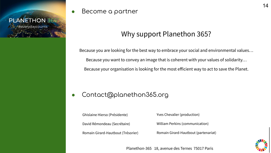

Become a partner

# Why support Planethon 365?

Because you are looking for the best way to embrace your social and environmental values… Because you want to convey an image that is coherent with your values of solidarity… Because your organisation is looking for the most efficient way to act to save the Planet.

# Contact@planethon365.org

Ghislaine Hierso (Présidente) David Rémondeau (Secrétaire) Romain Girard-Hautbout (Trésorier) Yves Chevalier (production)

William Perkins (communication)

Romain Girard-Hautbout (partenariat)



Planethon-365 18, avenue des Ternes 75017 Paris